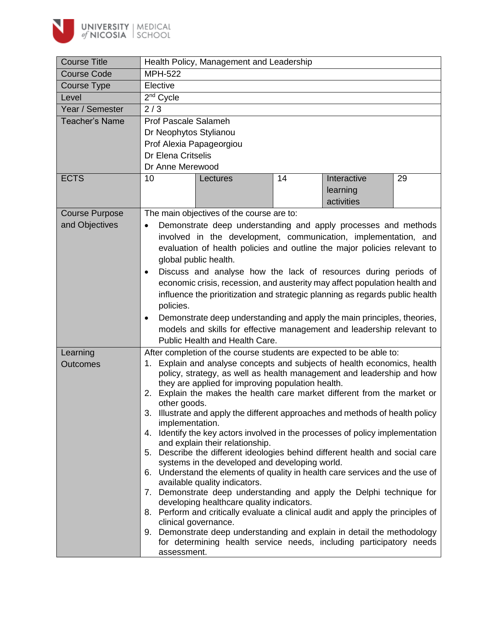

| <b>Course Title</b>   | Health Policy, Management and Leadership                                                                                       |  |  |  |  |  |
|-----------------------|--------------------------------------------------------------------------------------------------------------------------------|--|--|--|--|--|
| <b>Course Code</b>    | <b>MPH-522</b>                                                                                                                 |  |  |  |  |  |
| Course Type           | Elective                                                                                                                       |  |  |  |  |  |
| Level                 | 2 <sup>nd</sup> Cycle                                                                                                          |  |  |  |  |  |
| Year / Semester       | 2/3                                                                                                                            |  |  |  |  |  |
| <b>Teacher's Name</b> | Prof Pascale Salameh                                                                                                           |  |  |  |  |  |
|                       | Dr Neophytos Stylianou                                                                                                         |  |  |  |  |  |
|                       | Prof Alexia Papageorgiou                                                                                                       |  |  |  |  |  |
|                       | Dr Elena Critselis                                                                                                             |  |  |  |  |  |
|                       | Dr Anne Merewood                                                                                                               |  |  |  |  |  |
| <b>ECTS</b>           | 10<br>14<br>Interactive<br>29<br>Lectures                                                                                      |  |  |  |  |  |
|                       | learning                                                                                                                       |  |  |  |  |  |
|                       | activities                                                                                                                     |  |  |  |  |  |
| <b>Course Purpose</b> | The main objectives of the course are to:                                                                                      |  |  |  |  |  |
| and Objectives        | Demonstrate deep understanding and apply processes and methods                                                                 |  |  |  |  |  |
|                       | involved in the development, communication, implementation, and                                                                |  |  |  |  |  |
|                       | evaluation of health policies and outline the major policies relevant to                                                       |  |  |  |  |  |
|                       | global public health.                                                                                                          |  |  |  |  |  |
|                       |                                                                                                                                |  |  |  |  |  |
|                       | Discuss and analyse how the lack of resources during periods of<br>$\bullet$                                                   |  |  |  |  |  |
|                       | economic crisis, recession, and austerity may affect population health and                                                     |  |  |  |  |  |
|                       | influence the prioritization and strategic planning as regards public health                                                   |  |  |  |  |  |
|                       | policies.                                                                                                                      |  |  |  |  |  |
|                       | Demonstrate deep understanding and apply the main principles, theories,<br>$\bullet$                                           |  |  |  |  |  |
|                       | models and skills for effective management and leadership relevant to                                                          |  |  |  |  |  |
|                       | Public Health and Health Care.                                                                                                 |  |  |  |  |  |
| Learning              | After completion of the course students are expected to be able to:                                                            |  |  |  |  |  |
| <b>Outcomes</b>       | Explain and analyse concepts and subjects of health economics, health<br>1.                                                    |  |  |  |  |  |
|                       | policy, strategy, as well as health management and leadership and how<br>they are applied for improving population health.     |  |  |  |  |  |
|                       | Explain the makes the health care market different from the market or<br>2.                                                    |  |  |  |  |  |
|                       | other goods.                                                                                                                   |  |  |  |  |  |
|                       | 3. Illustrate and apply the different approaches and methods of health policy                                                  |  |  |  |  |  |
|                       | implementation.                                                                                                                |  |  |  |  |  |
|                       | 4. Identify the key actors involved in the processes of policy implementation                                                  |  |  |  |  |  |
|                       | and explain their relationship.                                                                                                |  |  |  |  |  |
|                       | 5. Describe the different ideologies behind different health and social care                                                   |  |  |  |  |  |
|                       | systems in the developed and developing world.<br>6. Understand the elements of quality in health care services and the use of |  |  |  |  |  |
|                       | available quality indicators.                                                                                                  |  |  |  |  |  |
|                       | 7. Demonstrate deep understanding and apply the Delphi technique for                                                           |  |  |  |  |  |
|                       | developing healthcare quality indicators.                                                                                      |  |  |  |  |  |
|                       | 8. Perform and critically evaluate a clinical audit and apply the principles of                                                |  |  |  |  |  |
|                       | clinical governance.                                                                                                           |  |  |  |  |  |
|                       | 9. Demonstrate deep understanding and explain in detail the methodology                                                        |  |  |  |  |  |
|                       |                                                                                                                                |  |  |  |  |  |
|                       | for determining health service needs, including participatory needs<br>assessment.                                             |  |  |  |  |  |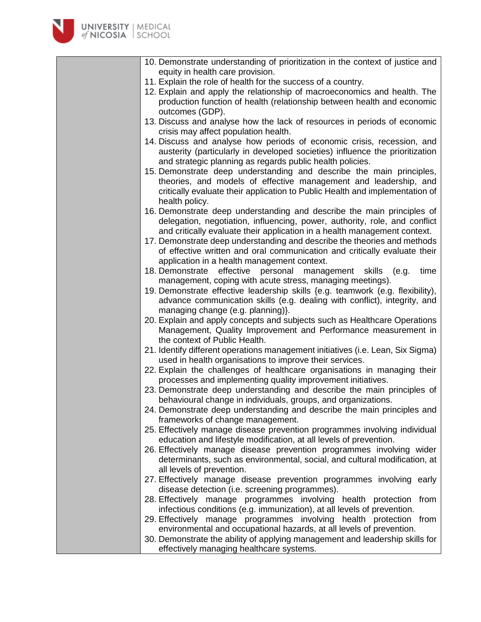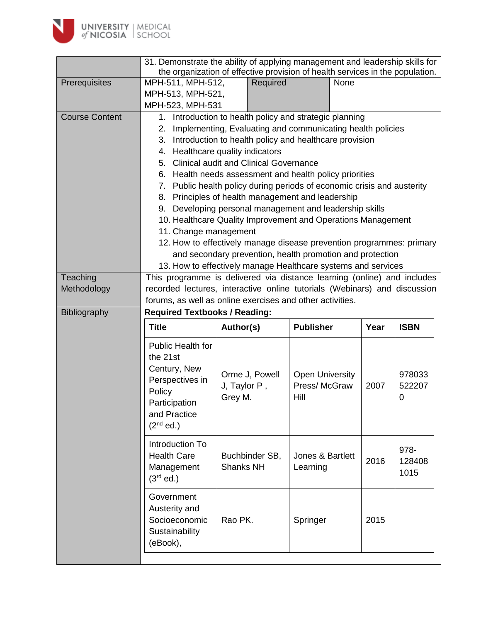

|                       | 31. Demonstrate the ability of applying management and leadership skills for                                                                                      |                                                                         |                        |      |                                                           |  |  |  |  |  |  |
|-----------------------|-------------------------------------------------------------------------------------------------------------------------------------------------------------------|-------------------------------------------------------------------------|------------------------|------|-----------------------------------------------------------|--|--|--|--|--|--|
|                       | the organization of effective provision of health services in the population.                                                                                     |                                                                         |                        |      |                                                           |  |  |  |  |  |  |
| Prerequisites         | MPH-511, MPH-512,                                                                                                                                                 | Required                                                                | None                   |      |                                                           |  |  |  |  |  |  |
|                       | MPH-513, MPH-521,                                                                                                                                                 |                                                                         |                        |      |                                                           |  |  |  |  |  |  |
|                       | MPH-523, MPH-531                                                                                                                                                  |                                                                         |                        |      |                                                           |  |  |  |  |  |  |
| <b>Course Content</b> | 1. Introduction to health policy and strategic planning                                                                                                           |                                                                         |                        |      |                                                           |  |  |  |  |  |  |
|                       | Implementing, Evaluating and communicating health policies<br>2.<br>3. Introduction to health policy and healthcare provision<br>4. Healthcare quality indicators |                                                                         |                        |      |                                                           |  |  |  |  |  |  |
|                       |                                                                                                                                                                   |                                                                         |                        |      |                                                           |  |  |  |  |  |  |
|                       |                                                                                                                                                                   |                                                                         |                        |      |                                                           |  |  |  |  |  |  |
|                       |                                                                                                                                                                   | 5. Clinical audit and Clinical Governance                               |                        |      |                                                           |  |  |  |  |  |  |
|                       |                                                                                                                                                                   | 6. Health needs assessment and health policy priorities                 |                        |      |                                                           |  |  |  |  |  |  |
|                       |                                                                                                                                                                   | 7. Public health policy during periods of economic crisis and austerity |                        |      |                                                           |  |  |  |  |  |  |
|                       |                                                                                                                                                                   | 8. Principles of health management and leadership                       |                        |      |                                                           |  |  |  |  |  |  |
|                       |                                                                                                                                                                   | 9. Developing personal management and leadership skills                 |                        |      |                                                           |  |  |  |  |  |  |
|                       |                                                                                                                                                                   | 10. Healthcare Quality Improvement and Operations Management            |                        |      |                                                           |  |  |  |  |  |  |
|                       | 11. Change management                                                                                                                                             |                                                                         |                        |      |                                                           |  |  |  |  |  |  |
|                       |                                                                                                                                                                   | 12. How to effectively manage disease prevention programmes: primary    |                        |      |                                                           |  |  |  |  |  |  |
|                       |                                                                                                                                                                   | and secondary prevention, health promotion and protection               |                        |      |                                                           |  |  |  |  |  |  |
|                       |                                                                                                                                                                   | 13. How to effectively manage Healthcare systems and services           |                        |      |                                                           |  |  |  |  |  |  |
| Teaching              | This programme is delivered via distance learning (online) and includes                                                                                           |                                                                         |                        |      |                                                           |  |  |  |  |  |  |
| Methodology           | recorded lectures, interactive online tutorials (Webinars) and discussion                                                                                         |                                                                         |                        |      |                                                           |  |  |  |  |  |  |
|                       |                                                                                                                                                                   |                                                                         |                        |      | forums, as well as online exercises and other activities. |  |  |  |  |  |  |
|                       | <b>Required Textbooks / Reading:</b>                                                                                                                              |                                                                         |                        |      |                                                           |  |  |  |  |  |  |
| Bibliography          |                                                                                                                                                                   |                                                                         |                        |      |                                                           |  |  |  |  |  |  |
|                       | <b>Title</b>                                                                                                                                                      | Author(s)                                                               | <b>Publisher</b>       | Year | <b>ISBN</b>                                               |  |  |  |  |  |  |
|                       | Public Health for                                                                                                                                                 |                                                                         |                        |      |                                                           |  |  |  |  |  |  |
|                       | the 21st                                                                                                                                                          |                                                                         |                        |      |                                                           |  |  |  |  |  |  |
|                       | Century, New                                                                                                                                                      |                                                                         |                        |      |                                                           |  |  |  |  |  |  |
|                       | Perspectives in                                                                                                                                                   | Orme J, Powell                                                          | <b>Open University</b> |      | 978033                                                    |  |  |  |  |  |  |
|                       | Policy                                                                                                                                                            | J, Taylor P,                                                            | Press/McGraw           | 2007 | 522207                                                    |  |  |  |  |  |  |
|                       | Participation                                                                                                                                                     | Grey M.                                                                 | Hill                   |      | 0                                                         |  |  |  |  |  |  |
|                       | and Practice                                                                                                                                                      |                                                                         |                        |      |                                                           |  |  |  |  |  |  |
|                       | $(2nd$ ed.)                                                                                                                                                       |                                                                         |                        |      |                                                           |  |  |  |  |  |  |
|                       | Introduction To                                                                                                                                                   |                                                                         |                        |      |                                                           |  |  |  |  |  |  |
|                       | <b>Health Care</b>                                                                                                                                                | Buchbinder SB,                                                          | Jones & Bartlett       |      | 978-                                                      |  |  |  |  |  |  |
|                       | Management                                                                                                                                                        | Shanks NH                                                               | Learning               | 2016 | 128408                                                    |  |  |  |  |  |  |
|                       | $(3rd$ ed.)                                                                                                                                                       |                                                                         |                        |      | 1015                                                      |  |  |  |  |  |  |
|                       |                                                                                                                                                                   |                                                                         |                        |      |                                                           |  |  |  |  |  |  |
|                       | Government                                                                                                                                                        |                                                                         |                        |      |                                                           |  |  |  |  |  |  |
|                       | Austerity and                                                                                                                                                     | Rao PK.                                                                 |                        |      |                                                           |  |  |  |  |  |  |
|                       | Socioeconomic<br>Sustainability                                                                                                                                   |                                                                         | Springer               | 2015 |                                                           |  |  |  |  |  |  |
|                       | (eBook),                                                                                                                                                          |                                                                         |                        |      |                                                           |  |  |  |  |  |  |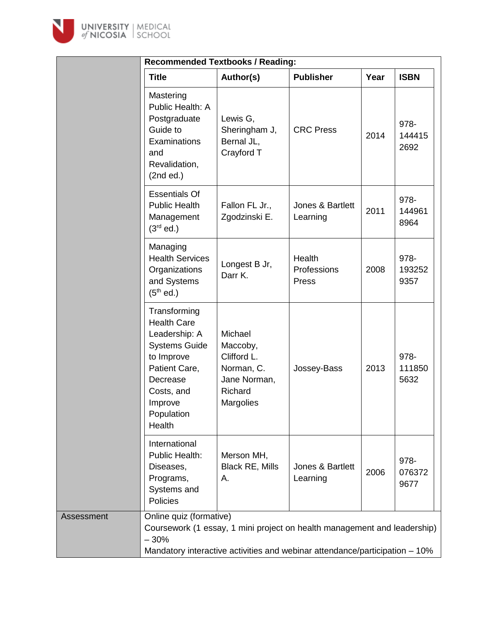

|                                                                                                                                                                         | <b>Recommended Textbooks / Reading:</b>                                                                                                                 |                                |      |                        |
|-------------------------------------------------------------------------------------------------------------------------------------------------------------------------|---------------------------------------------------------------------------------------------------------------------------------------------------------|--------------------------------|------|------------------------|
| <b>Title</b>                                                                                                                                                            | Author(s)                                                                                                                                               | <b>Publisher</b>               | Year | <b>ISBN</b>            |
| Mastering<br>Public Health: A<br>Postgraduate<br>Guide to<br>Examinations<br>and<br>Revalidation,<br>(2nd ed.)                                                          | Lewis G,<br>Sheringham J,<br>Bernal JL,<br>Crayford T                                                                                                   | <b>CRC Press</b>               | 2014 | 978-<br>144415<br>2692 |
| <b>Essentials Of</b><br><b>Public Health</b><br>Management<br>$(3rd$ ed.)                                                                                               | Fallon FL Jr.,<br>Zgodzinski E.                                                                                                                         | Jones & Bartlett<br>Learning   | 2011 | 978-<br>144961<br>8964 |
| Managing<br><b>Health Services</b><br>Organizations<br>and Systems<br>$(5th$ ed.)                                                                                       | Longest B Jr,<br>Darr K.                                                                                                                                | Health<br>Professions<br>Press | 2008 | 978-<br>193252<br>9357 |
| Transforming<br><b>Health Care</b><br>Leadership: A<br><b>Systems Guide</b><br>to Improve<br>Patient Care,<br>Decrease<br>Costs, and<br>Improve<br>Population<br>Health | Michael<br>Maccoby,<br>Clifford L.<br>Norman, C.<br>Jane Norman,<br>Richard<br><b>Margolies</b>                                                         | Jossey-Bass                    | 2013 | 978-<br>111850<br>5632 |
| International<br>Public Health:<br>Diseases,<br>Programs,<br>Systems and<br>Policies                                                                                    | Merson MH,<br><b>Black RE, Mills</b><br>А.                                                                                                              | Jones & Bartlett<br>Learning   | 2006 | 978-<br>076372<br>9677 |
| Online quiz (formative)<br>Assessment<br>$-30%$                                                                                                                         | Coursework (1 essay, 1 mini project on health management and leadership)<br>Mandatory interactive activities and webinar attendance/participation - 10% |                                |      |                        |